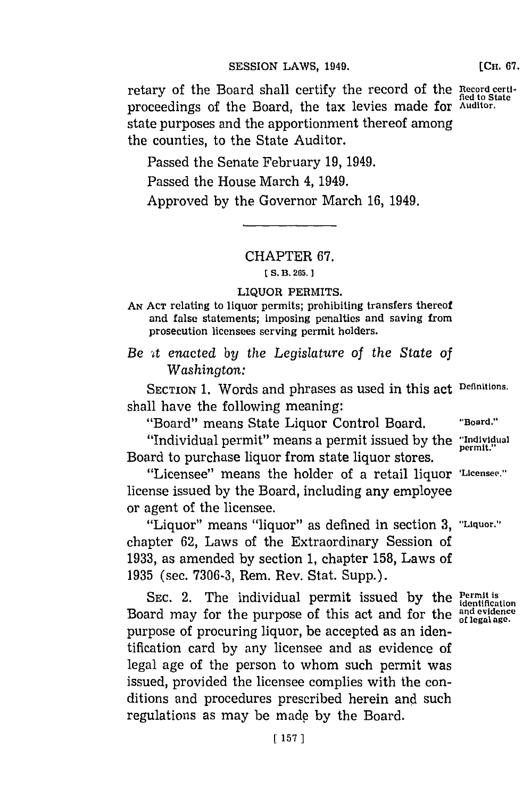### **SESSION LAWS, 1949.**

retary of the Board shall certify the record of the **Record certi**proceedings of the Board, the tax levies made for **Auditor.** state purposes and the apportionment thereof among the counties, to the State Auditor.

Passed the Senate February **19,** 1949. Passed the House March 4, 1949. Approved **by** the Governor March **16,** 1949.

### CHAPTER **67.**

### **[S. B. 2115.)1**

### LIQUOR PERMITS.

**AN ACT** relating to liquor permits; prohibiting transfers thereof and false statements; imposing penalties and saving from prosecution licensees serving permit holders.

*Be At enacted by the Legislature of the State of Washington:*

SECTION **1.** Words and phrases as used in this act **Definitions.** shall have the following meaning:

"Board" means State Liquor Control Board. **"Board."** 

"Individual permit" means a permit issued **by** the **"Indivjidual** Board to purchase liquor from state liquor stores.

"Licensee" means the holder of a retail liquor **'Licensee."** license issued **by** the Board, including any employee or agent of the licensee.

"Liquor" means "liquor" as defined in section **3, "Liquor."** chapter **62,** Laws of the Extraordinary Session of **1933,** as amended **by** section **1,** chapter **158,** Laws of **1935** (sec. **7306-3,** Rem. Rev. Stat. Supp.).

SEC. 2. The individual permit issued by the  $P_{\text{estimation}}$ Board may for the purpose of this act and for the  $\frac{and\;evidence}{of\;leph\;ge}$ purpose of procuring liquor, be accepted as an identification card **by** any licensee and as evidence of legal age of the person to whom such permit was issued, provided the licensee complies with the conditions and procedures prescribed herein and such regulations as may be made **by** the Board.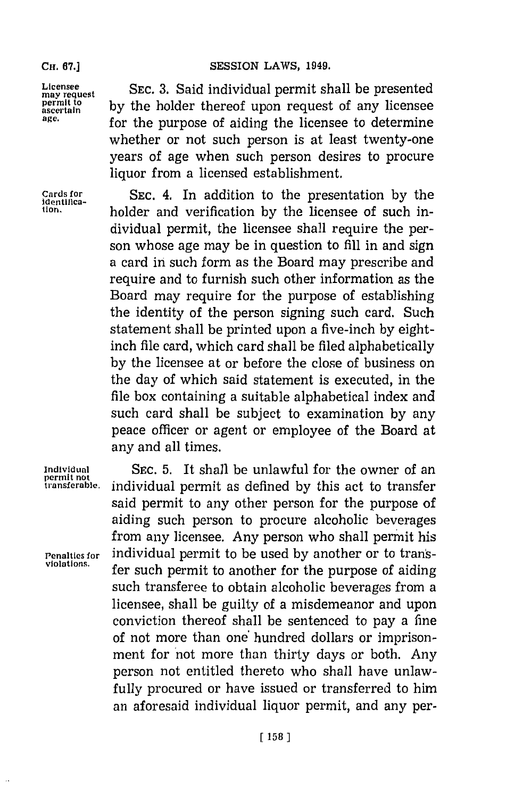**CH. 67.] SESSION LAWS, 1949.**

Licensee **SEC.** 3. Said individual permit shall be presented **may request of any licensee**<br>ascertain **Perm It to be asset to be a horizonal by** the **permitted Permutation age.** for the purpose of aiding the licensee to determine whether or not such person is at least twenty-one years of age when such person desires to procure liquor from a licensed establishment.

**Cards for SEC.** 4. In addition to the presentation **by** the tion. **IDENTIFICA- holder** and verification by the licensee of such individual permit, the licensee shall require the person whose age may be in question to **fill** in and sign a card in such form as the Board may prescribe and require and to furnish such other information as the Board may require for the purpose of establishing the identity of the person signing such card. Such statement shall be printed upon a five-inch **by** eightinch file card, which card shall be filed alphabetically **by** the licensee at or before the close of business on the day of which said statement is executed, in the file box containing a suitable alphabetical index and such card shall be subject to examination **by** any peace officer or agent or employee of the Board at any and all times.

**permit not**

**Individual SEC. 5.** It shall be unlawful for the owner of an **transferable,** individual permit as defined **by** this act to transfer said permit to any other person for the purpose of aiding such person to procure alcoholic beverages from any licensee. Any person who shall permit his **Penalties for** individual permit to be used **by** another or to transfer such permit to another for the purpose of aiding such transferee to obtain alcoholic beverages from a licensee, shall be guilty of a misdemeanor and upon conviction thereof shall be sentenced to pay a fine of not more than one hundred dollars or imprisonment for 'not more than thirty days or both. Any person not entitled thereto who shall have unlawfully procured or have issued or transferred to him an aforesaid individual liquor permit, and any per